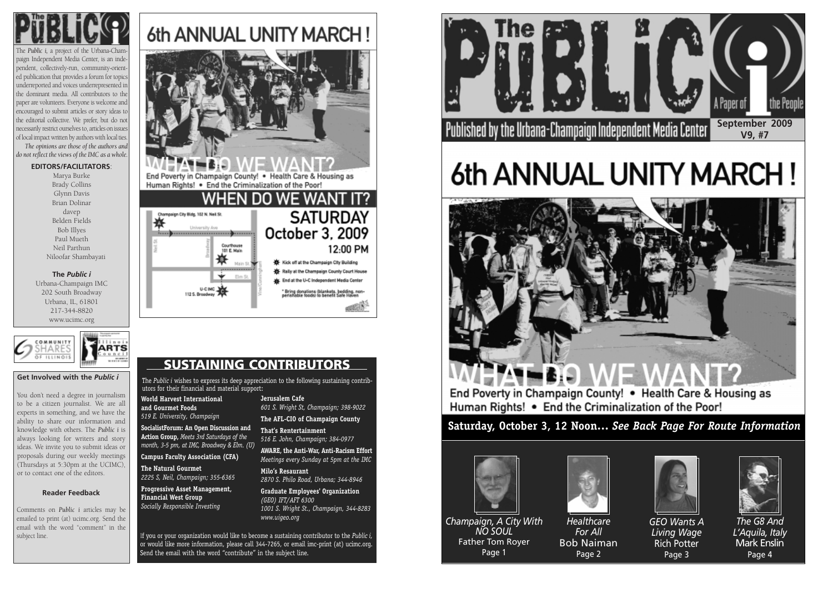

The *Public i,* a project of the Urbana-Champaign Independent Media Center, is an independent, collectively-run, community-oriented publication that provides a forum for topics underreported and voices underrepresented in the dominant media. All contributors to the paper are volunteers. Everyone is welcome and encouraged to submit articles or story ideas to the editorial collective. We prefer, but do not necessarily restrict ourselves to, articles on issues of local impact written by authors with local ties. *The opinions are those of the authors and do not reflect the views of the IMC as a whole.*

#### **EDITORS/FACILITATORS**:

Marya Burke Brady Collins Glynn Davis Brian Dolinar davep Belden Fields Bob Illyes Paul Mueth Neil Parthun Niloofar Shambayati

**The** *Public i* Urbana-Champaign IMC 202 South Broadway Urbana, IL, 61801 217-344-8820 www.ucimc.org



#### **Reader Feedback**

Comments on *Public i* articles may be emailed to print (at) ucimc.org. Send the email with the word "comment" in the subject line.



#### **Get Involved with the** *Public i*

You don't need a degree in journalism to be a citizen journalist. We are all experts in something, and we have the ability to share our information and knowledge with others. The *Public i* is always looking for writers and story ideas. We invite you to submit ideas or proposals during our weekly meetings (Thursdays at 5:30pm at the UCIMC), or to contact one of the editors.

> <sup>I</sup>f you or your organization would like to become a sustaining contributor to the *Public i,* or would like more information, please call 344-7265, or email imc-print (at) ucimc.org. Send the email with the word "contribute" in the subject line.

### **SUSTAINING CONTRIBUTORS**

The *Public i* wishes to express its deep appreciation to the following sustaining contributors for their financial and material support:

**World Harvest International and Gourmet Foods** *519 E. University, Champaign*

**SocialistForum: An Open Discussion and Action Group,** *Meets 3rd Saturdays of the month, 3-5 pm, at IMC, Broadway & Elm. (U)* 

**Campus Faculty Association (CFA)**

**The Natural Gourmet** *2225 S, Neil, Champaign; 355-6365*

**Progressive Asset Management, Financial West Group** *Socially Responsible Investing*

**Jerusalem Cafe** *601 S. Wright St, Champaign; 398-9022*

**The AFL-CIO of Champaign County**

**That's Rentertainment** *516 E. John, Champaign; 384-0977* 

**AWARE, the Anti-War, Anti-Racism Effort** *Meetings every Sunday at 5pm at the IMC*

**Milo's Resaurant** *2870 S. Philo Road, Urbana; 344-8946*

**Graduate Employees' Organization** *(GEO) IFT/AFT 6300 1001 S. Wright St., Champaign, 344-8283 www.uigeo.org*



# 6th ANNUAL UNITY MARCH!



*Champaign, A City With NO SOUL* Father Tom Royer Page 1



*Healthcare For All* Bob Naiman Page 2

*GEO Wants A Living Wage*  Rich Potter Page 3



*The G8 And L'Aquila, Italy* Mark Enslin Page 4

**Saturday, October 3, 12 Noon…** *See Back Page For Route Information*



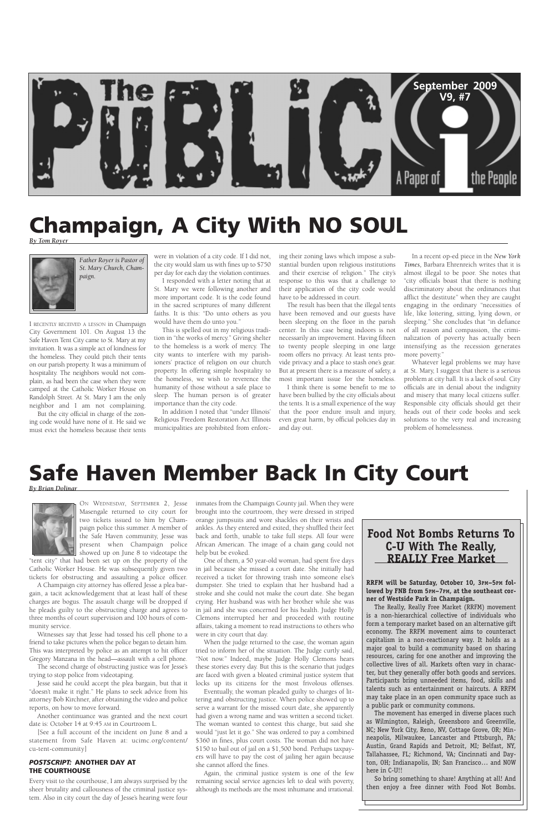

ON WEDNESDAY, SEPTEMBER 2, Jesse Masengale returned to city court for two tickets issued to him by Champaign police this summer. A member of the Safe Haven community, Jesse was present when Champaign police showed up on June 8 to videotape the

"tent city" that had been set up on the property of the Catholic Worker House. He was subsequently given two tickets for obstructing and assaulting a police officer.

A Champaign city attorney has offered Jesse a plea bargain, a tacit acknowledgement that at least half of these charges are bogus. The assault charge will be dropped if he pleads guilty to the obstructing charge and agrees to three months of court supervision and 100 hours of community service. Witnesses say that Jesse had tossed his cell phone to a friend to take pictures when the police began to detain him. This was interpreted by police as an attempt to hit officer Gregory Manzana in the head—assault with a cell phone. The second charge of obstructing justice was for Jesse's trying to stop police from videotaping. Jesse said he could accept the plea bargain, but that it "doesn't make it right." He plans to seek advice from his attorney Bob Kirchner, after obtaining the video and police reports, on how to move forward.

Another continuance was granted and the next court date is: October 14 at 9:45 AM in Courtroom L.

[See a full account of the incident on June 8 and a statement from Safe Haven at: ucimc.org/content/ cu-tent-community]

#### *POSTSCRIPT:* **ANOTHER DAY AT THE COURTHOUSE**

Every visit to the courthouse, I am always surprised by the sheer brutality and callousness of the criminal justice system. Also in city court the day of Jesse's hearing were four

inmates from the Champaign County jail. When they were brought into the courtroom, they were dressed in striped orange jumpsuits and wore shackles on their wrists and ankles. As they entered and exited, they shuffled their feet back and forth, unable to take full steps. All four were African American. The image of a chain gang could not help but be evoked.

One of them, a 50 year-old woman, had spent five days in jail because she missed a court date. She initially had received a ticket for throwing trash into someone else's dumpster. She tried to explain that her husband had a stroke and she could not make the court date. She began crying. Her husband was with her brother while she was in jail and she was concerned for his health. Judge Holly Clemons interrupted her and proceeded with routine affairs, taking a moment to read instructions to others who were in city court that day. When the judge returned to the case, the woman again tried to inform her of the situation. The Judge curtly said, "Not now." Indeed, maybe Judge Holly Clemons hears these stories every day. But this is the scenario that judges are faced with given a bloated criminal justice system that locks up its citizens for the most frivolous offenses. Eventually, the woman pleaded guilty to charges of littering and obstructing justice. When police showed up to serve a warrant for the missed court date, she apparently had given a wrong name and was written a second ticket. The woman wanted to contest this charge, but said she would "just let it go." She was ordered to pay a combined \$360 in fines, plus court costs. The woman did not have \$150 to bail out of jail on a \$1,500 bond. Perhaps taxpayers will have to pay the cost of jailing her again because she cannot afford the fines. Again, the criminal justice system is one of the few remaining social service agencies left to deal with poverty, although its methods are the most inhumane and irrational.

## **Safe Haven Member Back In City Court**

#### *By Brian Dolinar*



I RECENTLY RECEIVED A LESSON in Champaign City Government 101. On August 13 the Safe Haven Tent City came to St. Mary at my invitation. It was a simple act of kindness for the homeless. They could pitch their tents on our parish property. It was a minimum of hospitality. The neighbors would not complain, as had been the case when they were camped at the Catholic Worker House on Randolph Street. At St. Mary I am the only neighbor and I am not complaining.

But the city official in charge of the zoning code would have none of it. He said we must evict the homeless because their tents were in violation of a city code. If I did not, the city would slam us with fines up to \$750 per day for each day the violation continues.

I responded with a letter noting that at St. Mary we were following another and more important code. It is the code found in the sacred scriptures of many different faiths. It is this: "Do unto others as you would have them do unto you."

This is spelled out in my religious tradition in "the works of mercy." Giving shelter to the homeless is a work of mercy. The city wants to interfere with my parishioners' practice of religion on our church property. In offering simple hospitality to the homeless, we wish to reverence the humanity of those without a safe place to sleep. The human person is of greater importance than the city code.

In addition I noted that "under Illinois' Religious Freedom Restoration Act Illinois municipalities are prohibited from enforcing their zoning laws which impose a substantial burden upon religious institutions and their exercise of religion." The city's response to this was that a challenge to their application of the city code would have to be addressed in court.

The result has been that the illegal tents have been removed and our guests have been sleeping on the floor in the parish center. In this case being indoors is not necessarily an improvement. Having fifteen to twenty people sleeping in one large room offers no privacy. At least tents provide privacy and a place to stash one's gear. But at present there is a measure of safety, a most important issue for the homeless.

I think there is some benefit to me to have been bullied by the city officials about the tents. It is a small experience of the way that the poor endure insult and injury, even great harm, by official policies day in and day out.

In a recent op-ed piece in the *New York Times,* Barbara Ehrenreich writes that it is almost illegal to be poor. She notes that "city officials boast that there is nothing discriminatory about the ordinances that afflict the destitute" when they are caught engaging in the ordinary "necessities of life, like loitering, sitting, lying down, or sleeping." She concludes that "in defiance of all reason and compassion, the criminalization of poverty has actually been intensifying as the recession generates more poverty."

Whatever legal problems we may have at St. Mary, I suggest that there is a serious problem at city hall. It is a lack of soul. City officials are in denial about the indignity and misery that many local citizens suffer. Responsible city officials should get their heads out of their code books and seek solutions to the very real and increasing problem of homelessness.

## **Champaign, A City With NO SOUL**

*By Tom Royer*



*Father Royer is Pastor of St. Mary Church, Champaign.*

### **Food Not Bombs Returns To C-U With The Really, REALLY Free Market**

**RRFM will be Saturday, October 10, 3PM–5PM followed by FNB from 5PM–7PM, at the southeast corner of Westside Park in Champaign.**

The Really, Really Free Market (RRFM) movement is a non-hierarchical collective of individuals who form a temporary market based on an alternative gift economy. The RRFM movement aims to counteract capitalism in a non-reactionary way. It holds as a major goal to build a community based on sharing resources, caring for one another and improving the collective lives of all. Markets often vary in character, but they generally offer both goods and services. Participants bring unneeded items, food, skills and talents such as entertainment or haircuts. A RRFM may take place in an open community space such as a public park or community commons. The movement has emerged in diverse places such as Wilmington, Raleigh, Greensboro and Greenville, NC; New York City, Reno, NV, Cottage Grove, OR; Minneapolis, Milwaukee, Lancaster and Pttsburgh, PA; Austin, Grand Rapids and Detroit, MI; Belfast, NY, Tallahassee, FL; Richmond, VA; Cincinnati and Dayton, OH; Indianapolis, IN; San Francisco… and NOW here in C-U!!

So bring something to share! Anything at all! And then enjoy a free dinner with Food Not Bombs.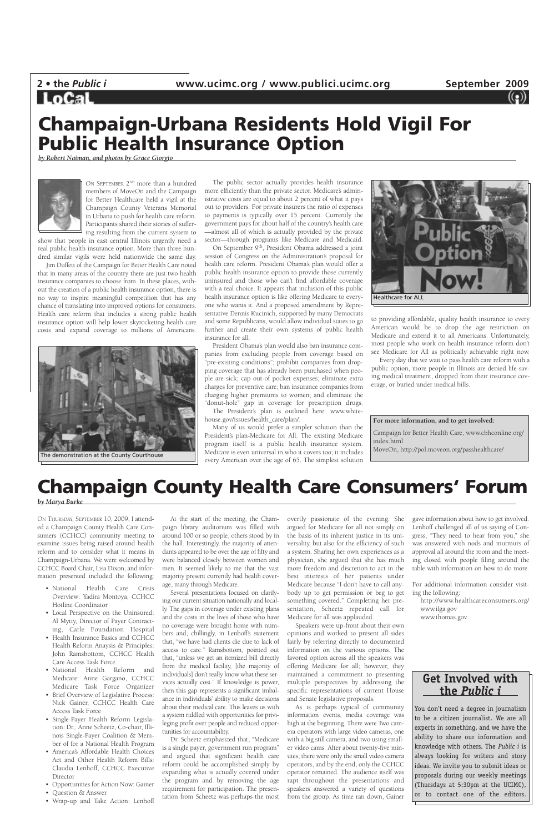### **LoCal**



## **Champaign-Urbana Residents Hold Vigil For Public Health Insurance Option**

*by Robert Naiman, and photos by Grace Giorgio*



ON SEPTEMBER 2ND more than a hundred members of MoveOn and the Campaign for Better Healthcare held a vigil at the Champaign County Veterans Memorial in Urbana to push for health care reform. Participants shared their stories of suffering resulting from the current system to

show that people in east central Illinois urgently need a real public health insurance option. More than three hundred similar vigils were held nationwide the same day.

Jim Duffett of the Campaign for Better Health Care noted that in many areas of the country there are just two health insurance companies to choose from. In these places, without the creation of a public health insurance option, there is no way to inspire meaningful competition that has any chance of translating into improved options for consumers. Health care reform that includes a strong public health insurance option will help lower skyrocketing health care costs and expand coverage to millions of Americans.



On September 9<sup>th</sup>, President Obama addressed a joint session of Congress on the Administration's proposal for health care reform. President Obama's plan would offer a public health insurance option to provide those currently uninsured and those who can't find affordable coverage with a real choice. It appears that inclusion of this public health insurance option is like offering Medicare to everyone who wants it. And a proposed amendment by Representative Dennis Kucinich, supported by many Democrats and some Republicans, would allow individual states to go further and create their own systems of public health insurance for all.

The public sector actually provides health insurance more efficiently than the private sector. Medicare's administrative costs are equal to about 2 percent of what it pays out to providers. For private insurers the ratio of expenses to payments is typically over 15 percent. Currently the government pays for about half of the country's health care —almost all of which is actually provided by the private sector—through programs like Medicare and Medicaid.

President Obama's plan would also ban insurance companies from excluding people from coverage based on "pre-existing conditions"; prohibit companies from dropping coverage that has already been purchased when people are sick; cap out-of pocket expenses; eliminate extra charges for preventive care; ban insurance companies from charging higher premiums to women; and eliminate the "donut-hole" gap in coverage for prescription drugs.

The President's plan is outlined here: www.whitehouse.gov/issues/health\_care/plan/.

Many of us would prefer a simpler solution than the President's plan-Medicare for All. The existing Medicare program itself is a public health insurance system. The demonstration at the County Courthouse Medicare is even universal in who it covers too; it includes MoveOn, http://pol.moveon.org/passhealthcare/ every American over the age of 65. The simplest solution

to providing affordable, quality health insurance to every American would be to drop the age restriction on Medicare and extend it to all Americans. Unfortunately, most people who work on health insurance reform don't see Medicare for All as politically achievable right now.

Every day that we wait to pass health care reform with a public option, more people in Illinois are denied life-saving medical treatment, dropped from their insurance coverage, or buried under medical bills.

## **Champaign County Health Care Consumers' Forum**

*by Marya Burke*

ON THURSDAY, SEPTEMBER 10, 2009, I attended a Champaign County Health Care Consumers (CCHCC) community meeting to examine issues being raised around health reform and to consider what it means in Champaign-Urbana. We were welcomed by CCHCC Board Chair, Lisa Dixon, and information presented included the following:

- National Health Care Crisis Overview: Yadira Montoya, CCHCC Hotline Coordinator
- Local Perspective on the Uninsured: Al Mytty, Director of Payer Contracting, Carle Foundation Hospital • Health Insurance Basics and CCHCC Health Reform Anaysis & Principles: John Ramsbottom, CCHCC Health Care Access Task Force • National Health Reform and Medicare: Anne Gargano, CCHCC Medicare Task Force Organizer

- Brief Overview of Legislative Process: Nick Gainer, CCHCC Health Care Access Task Force
- Single-Payer Health Reform Legislation: Dr,. Anne Scheetz, Co-chair, Illinois Single-Payer Coalition & Member of for a National Health Program
- America's Affordable Health Choices Act and Other Health Reform Bills: Claudia Lenhoff, CCHCC Executive Director
- Opportunities for Action Now: Gainer
- Question & Answer
- Wrap-up and Take Action: Lenhoff

At the start of the meeting, the Champaign library auditorium was filled with around 100 or so people, others stood by in the hall. Interestingly, the majority of attendants appeared to be over the age of fifty and were balanced closely between women and men. It seemed likely to me that the vast majority present currently had health coverage, many through Medicare.

Several presentations focused on clarifying our current situation nationally and locally. The gaps in coverage under existing plans and the costs in the lives of those who have no coverage were brought home with numbers and, chillingly, in Lenhoff's statement that, "we have had clients die due to lack of access to care." Ramsbottom, pointed out that, "unless we get an itemized bill directly from the medical facility, [the majority of individuals] don't really know what these services actually cost." If knowledge is power, then this gap represents a significant imbalance in individuals' ability to make decisions about their medical care. This leaves us with a system riddled with opportunities for privileging profit over people and reduced opportunities for accountability. Dr. Scheetz emphasized that, "Medicare is a single payer, government run program" and argued that significant health care reform could be accomplished simply by expanding what is actually covered under the program and by removing the age requirement for participation. The presentation from Scheetz was perhaps the most

overtly passionate of the evening. She argued for Medicare for all not simply on the basis of its inherent justice in its universality, but also for the efficiency of such a system. Sharing her own experiences as a physician, she argued that she has much more freedom and discretion to act in the best interests of her patients under Medicare because "I don't have to call anybody up to get permission or beg to get something covered." Completing her presentation, Scheetz repeated call for

Medicare for all was applauded.

Speakers were up-front about their own opinions and worked to present all sides fairly by referring directly to documented information on the various options. The favored option across all the speakers was offering Medicare for all; however, they maintained a commitment to presenting multiple perspectives by addressing the specific representations of current House and Senate legislative proposals.

As is perhaps typical of community information events, media coverage was high at the beginning. There were Two camera operators with large video cameras, one with a big still camera, and two using smaller video cams. After about twenty-five minutes, there were only the small video camera operators, and by the end, only the CCHCC operator remained. The audience itself was rapt throughout the presentations and speakers answered a variety of questions from the group. As time ran down, Gainer

gave information about how to get involved. Lenhoff challenged all of us saying of Congress, "They need to hear from you," she was answered with nods and murmurs of approval all around the room and the meeting closed with people filing around the table with information on how to do more.

For additional information consider visiting the following:

http://www.healthcareconsumers.org/ www.ilga.gov

www.thomas.gov

#### **For more information, and to get involved:**

Campaign for Better Health Care, www.cbhconline.org/ index.html



### **Get Involved with the** *Public i*

You don't need a degree in journalism to be a citizen journalist. We are all experts in something, and we have the ability to share our information and knowledge with others. The *Public i* is always looking for writers and story ideas. We invite you to submit ideas or proposals during our weekly meetings (Thursdays at 5:30pm at the UCIMC), or to contact one of the editors.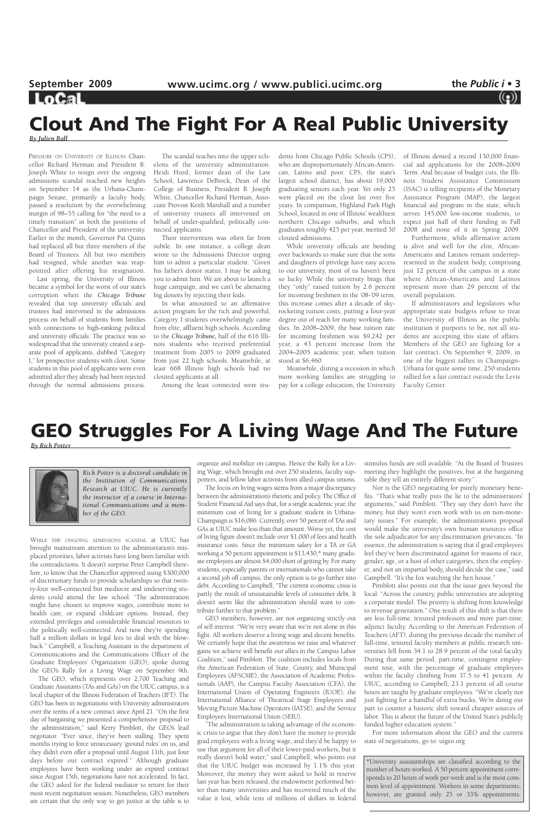PRESSURE ON UNIVERSITY OF ILLINOIS Chancellor Richard Herman and President B. Joseph White to resign over the ongoing admissions scandal reached new heights on September 14 as the Urbana-Champaign Senate, primarily a faculty body, passed a resolution by the overwhelming margin of 98–55 calling for "the need to a timely transition" in both the positions of Chancellor and President of the university. Earlier in the month, Governor Pat Quinn had replaced all but three members of the Board of Trustees. All but two members had resigned, while another was reappointed after offering his resignation.

Last spring, the University of Illinois became a symbol for the worst of our state's corruption when the *Chicago Tribune* revealed that top university officials and trustees had intervened in the admissions process on behalf of students from families with connections to high-ranking political and university officials. The practice was so widespread that the university created a separate pool of applicants, dubbed "Category I," for prospective students with clout. Some students in this pool of applicants were even admitted after they already had been rejected through the normal admissions process.

The scandal reaches into the upper echelons of the university administration. Heidi Hurd, former dean of the Law School, Lawrence DeBrock, Dean of the College of Business, President B. Joseph White, Chancellor Richard Herman, Associate Provost Keith Marshall and a number of university trustees all intervened on behalf of under-qualified, politically connected applicants.

Their intervention was often far from subtle. In one instance, a college dean wrote to the Admissions Director urging him to admit a particular student. "Given his father's donor status, I may be asking you to admit him. We are about to launch a huge campaign, and we can't be alienating big donors by rejecting their kids.

In what amounted to an affirmative action program for the rich and powerful, Category I students overwhelmingly came from elite, affluent high schools. According to the *Chicago Tribune,* half of the 616 Illinois students who received preferential treatment from 2005 to 2009 graduated from just 22 high schools. Meanwhile, at least 668 Illinois high schools had no clouted applicants at all.

Among the least connected were stu-

dents from Chicago Public Schools (CPS), who are disproportionately African-American, Latino and poor. CPS, the state's largest school district, has about 19,000 graduating seniors each year. Yet only 25 were placed on the clout list over five years. In comparison, Highland Park High School, located in one of Illinois' wealthiest northern Chicago suburbs, and which graduates roughly 425 per year, merited 30 clouted admissions.

While university officials are bending over backwards to make sure that the sons and daughters of privilege have easy access to our university, most of us haven't been so lucky. While the university brags that they "only" raised tuition by 2.6 percent for incoming freshmen in the '08-'09 term, this increase comes after a decade of skyrocketing tuition costs, putting a four-year degree out of reach for many working families. In 2008–2009, the base tuition rate for incoming freshmen was \$9,242 per year, a 43 percent increase from the 2004–2005 academic year, when tuition stood at \$6,460.

Meanwhile, during a recession in which more working families are struggling to pay for a college education, the University of Illinois denied a record 130,000 financial aid applications for the 2008–2009 Term. And because of budget cuts, the Illinois Student Assistance Commission (ISAC) is telling recipients of the Monetary Assistance Program (MAP), the largest financial aid program in the state, which serves 145,000 low-income students, to expect just half of their funding in Fall 2008 and none of it in Spring 2009.

Furthermore, while affirmative action is alive and well for the elite, African-Americans and Latinos remain underrepresented in the student body, comprising just 12 percent of the campus in a state where African-Americans and Latinos represent more than 29 percent of the overall population.

If administrators and legislators who appropriate state budgets refuse to treat the University of Illinois as the public institution it purports to be, not all students are accepting this state of affairs. Members of the GEO are fighting for a fair contract. On September 9, 2009, in one of the biggest rallies in Champaign-Urbana for quite some time, 250 students rallied for a fair contract outside the Levis Faculty Center.

# **Clout And The Fight For A Real Public University**

*By Julien Ball*

LoCal

WHILE THE ONGOING ADMISSIONS SCANDAL at UIUC has brought mainstream attention to the administration's misplaced priorities, labor activists have long been familiar with the contradictions. It doesn't surprise Peter Campbell therefore, to know that the Chancellor approved using \$300,000 of discretionary funds to provide scholarships so that twenty-four well-connected but mediocre and undeserving students could attend the law school. "The administration might have chosen to improve wages, contribute more to health care, or expand childcare options. Instead, they extended privileges and considerable financial resources to the politically well-connected. And now they're spending half a million dollars in legal fees to deal with the blowback." Campbell, a Teaching Assistant in the department of Communications and the Communications Officer of the Graduate Employees' Organization (GEO), spoke during the GEO's Rally for a Living Wage on September 9th. The GEO, which represents over 2,700 Teaching and Graduate Assistants (TAs and GAs) on the UIUC campus, is a local chapter of the Illinois Federation of Teachers (IFT). The GEO has been in negotiations with University administrators over the terms of a new contract since April 21. "On the first day of bargaining we presented a comprehensive proposal to the administration," said Kerry Pimblott, the GEO's lead negotiator. "Ever since, they've been stalling. They spent months trying to force unnecessary 'ground rules' on us, and they didn't even offer a proposal until August 11th, just four days before our contract expired." Although graduate employees have been working under an expired contract since August 15th, negotiations have not accelerated. In fact, the GEO asked for the federal mediator to return for their most recent negotiation session. Nonetheless, GEO members are certain that the only way to get justice at the table is to

organize and mobilize on campus. Hence the Rally for a Living Wage, which brought out over 250 students, faculty supporters, and fellow labor activists from allied campus unions.

The focus on living wages stems from a major discrepancy between the administration's rhetoric and policy. The Office of Student Financial Aid says that, for a single academic year, the minimum cost of living for a graduate student in Urbana-Champaign is \$16,086. Currently, over 50 percent of TAs and GAs at UIUC make less than that amount. Worse yet, the cost of living figure doesn't include over \$1,000 of fees and health insurance costs. Since the minimum salary for a TA or GA working a 50 percent appointment is \$13,430,\* many graduate employees are almost \$4,000 short of getting by. For many students, especially parents or internationals who cannot take a second job off campus, the only option is to go further into debt. According to Campbell, "The current economic crisis is partly the result of unsustainable levels of consumer debt. It doesn't seem like the administration should want to contribute further to that problem."

GEO members, however, are not organizing strictly out of self interest. "We're very aware that we're not alone in this fight. All workers deserve a living wage and decent benefits. We certainly hope that the awareness we raise and whatever gains we achieve will benefit our allies in the Campus Labor Coalition," said Pimblott. The coalition includes locals from the American Federation of State, County, and Municipal Employees (AFSCME), the Association of Academic Professionals (AAP), the Campus Faculty Association (CFA), the International Union of Operating Engineers (IUOE), the International Alliance of Theatrical Stage Employees and Moving Picture Machine Operators (IATSE), and the Service Employees International Union (SEIU).

"The administration is taking advantage of the economic crisis to argue that they don't have the money to provide grad employees with a living wage, and they'd be happy to use that argument for all of their lower-paid workers, but it really doesn't hold water," said Campbell, who points out that the UIUC budget was increased by 1.1% this year. Moreover, the money they were asked to hold in reserve last year has been released, the endowment performed better than many universities and has recovered much of the value it lost, while tens of millions of dollars in federal

stimulus funds are still available. "At the Board of Trustees meeting they highlight the positives, but at the bargaining table they tell an entirely different story."

Nor is the GEO negotiating for purely monetary benefits. "That's what really puts the lie to the administrators' arguments," said Pimblott. "They say they don't have the money, but they won't even work with us on non-monetary issues." For example, the administration's proposal would make the university's own human resources office the sole adjudicator for any discrimination grievances. "In essence, the administration is saying that if grad employees feel they've been discriminated against for reasons of race, gender, age, or a host of other categories, then the employer, and not an impartial body, should decide the case," said Campbell. "It's the fox watching the hen house."

Pimblott also points out that the issue goes beyond the local. "Across the country, public universities are adopting a corporate model. The priority is shifting from knowledge to revenue generation." One result of this shift is that there are less full-time, tenured professors and more part-time, adjunct faculty. According to the American Federation of Teachers (AFT), during the previous decade the number of full-time, tenured faculty members at public research universities fell from 34.1 to 28.9 percent of the total faculty. During that same period, part-time, contingent employment rose, with the percentage of graduate employees within the faculty climbing from 37.5 to 41 percent. At UIUC, according to Campbell, 23.1 percent of all course hours are taught by graduate employees. "We're clearly not just fighting for a handful of extra bucks. We're doing our part to counter a historic shift toward cheaper sources of labor. This is about the future of the United State's publicly funded higher education system."

For more information about the GEO and the current state of negotiations, go to: uigeo.org

*Rich Potter is a doctoral candidate in the Institution of Communications Research at UIUC. He is currently the instructor of a course in International Communications and a member of the GEO.*

> \*University assistantships are classified according to the number of hours worked. A 50 percent appointment corresponds to 20 hours of work per week and is the most common level of appointment. Workers in some departments, however, are granted only 25 or 33% appointments.

## **GEO Struggles For A Living Wage And The Future**

*By Rich Potter*

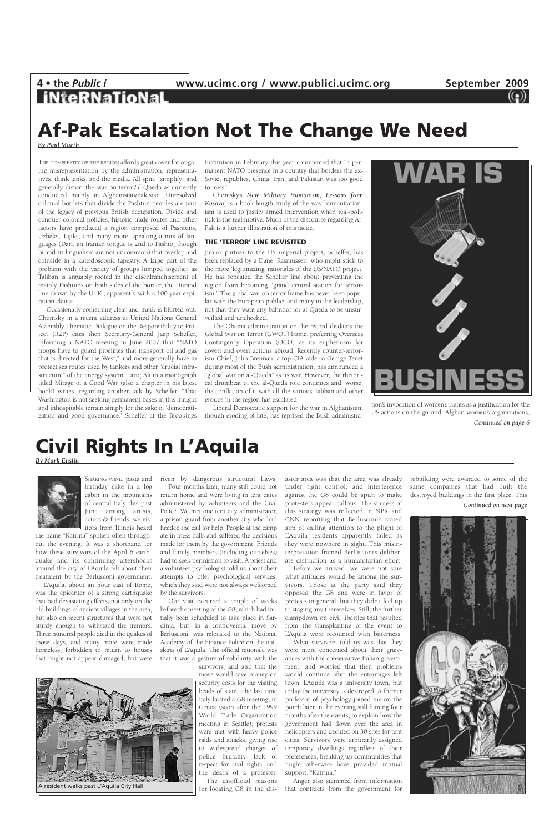### **iNteRNaTioNal**

### **Civil Rights In L'Aquila** *By Mark Enslin*



SHARING WINE, pasta and birthday cake in a log cabin in the mountains of central Italy this past June among artists, actors & friends, we visitors from Illinois heard

the name "Katrina" spoken often throughout the evening. It was a shorthand for how these survivors of the April 6 earthquake and its continuing aftershocks around the city of L'Aquila felt about their treatment by the Berlusconi government.

L'Aquila, about an hour east of Rome, was the epicenter of a strong earthquake that had devastating effects, not only on the old buildings of ancient villages in the area, but also on recent structures that were not sturdy enough to withstand the tremors. Three hundred people died in the quakes of those days, and many more were made homeless, forbidden to return to houses that might not appear damaged, but were

riven by dangerous structural flaws. Four months later, many still could not return home and were living in tent cities administered by volunteers and the Civil Police. We met one tent city administrator, a prison guard from another city who had heeded the call for help. People at the camp ate in mess halls and suffered the decisions made for them by the government. Friends and family members (including ourselves) had to seek permission to visit. A priest and a volunteer psychologist told us about their attempts to offer psychological services, which they said were not always welcomed by the survivors.

Our visit occurred a couple of weeks before the meeting of the G8, which had initially been scheduled to take place in Sardinia, but, in a controversial move by Berlusconi, was relocated to the National Academy of the Finance Police on the outskirts of L'Aquila. The official rationale was that it was a gesture of solidarity with the

survivors, and also that the move would save money on security costs for the visiting heads of state. The last time Italy hosted a G8 meeting, in Genoa (soon after the 1999 World Trade Organization meeting in Seattle), protests were met with heavy police raids and attacks, giving rise to widespread charges of police brutality, lack of respect for civil rights, and the death of a protester. The unofficial reasons for locating G8 in the disaster area was that the area was already under tight control, and interference against the G8 could be spun to make protesters appear callous. The success of this strategy was reflected in NPR and CNN reporting that Berlusconi's stated aim of calling attention to the plight of L'Aquila residents apparently failed as they were nowhere in sight. This misinterpretation framed Berlusconi's deliberate distraction as a humanitarian effort.

Institution in February this year commented that "a permanent NATO presence in a country that borders the ex-Soviet republics, China, Iran, and Pakistan was too good to miss<sup>?</sup>

> Before we arrived, we were not sure what attitudes would be among the survivors. Those at the party said they opposed the G8 and were in favor of protests in general, but they didn't feel up to staging any themselves. Still, the further clampdown on civil liberties that resulted from the transplanting of the event to L'Aquila were recounted with bitterness. What survivors told us was that they were more concerned about their grievances with the conservative Italian government, and worried that their problems would continue after the entourages left town. L'Aquila was a university town, but today the university is destroyed. A former professor of psychology joined me on the porch later in the evening still fuming four months after the events, to explain how the government had flown over the area in helicopters and decided on 30 sites for tent cities. Survivors were arbitrarily assigned temporary dwellings regardless of their preferences, breaking up communities that might otherwise have provided mutual support. "Katrina."

> Anger also stemmed from information that contracts from the government for

rebuilding were awarded to some of the same companies that had built the destroyed buildings in the first place. This

*Continued on next page*





THE COMPLEXITY OF THE REGION affords great cover for ongoing misrepresentation by the administration, representatives, think tanks, and the media. All spin, "simplify" and generally distort the war on terror/al-Queda as currently conducted mainly in Afghanistan/Pakistan. Unresolved colonial borders that divide the Pashtun peoples are part of the legacy of previous British occupation. Divide and conquer colonial policies, historic trade routes and other factors have produced a region composed of Pashtuns, Uzbeks, Tajiks, and many more, speaking a mix of languages (Dari, an Iranian tongue is 2nd to Pashto, though bi and tri lingualism are not uncommon) that overlap and coincide in a kaleidoscopic tapestry. A large part of the problem with the variety of groups lumped together as Taliban is arguably rooted in the disenfranchisement of mainly Pashtuns on both sides of the border, the Durand line drawn by the U. K., apparently with a 100 year expiration clause.

Occasionally something clear and frank is blurted out. Chomsky in a recent address at United Nations General Assembly Thematic Dialogue on the Responsibility to Protect (R2P) cites then Secretary-General Jaap Scheffer, informing a NATO meeting in June 2007 that "NATO troops have to guard pipelines that transport oil and gas that is directed for the West," and more generally have to protect sea routes used by tankers and other "crucial infrastructure" of the energy system. Tariq Ali in a monograph titled Mirage of a Good War (also a chapter in his latest book) writes, regarding another talk by Scheffer, "That Washington is not seeking permanent bases in this fraught and inhospitable terrain simply for the sake of 'democratization and good governance.' Scheffer at the Brookings

Chomsky's *New Military Humanism, Lessons from Kosovo,* is a book length study of the way humanitarianism is used to justify armed intervention when real-politick is the real motive. Much of the discourse regarding Af-Pak is a further illustration of this tactic.

#### **THE 'TERROR' LINE REVISITED**

Junior partner to the US imperial project, Scheffer, has been replaced by a Dane, Rasmussen, who might stick to the more 'legitimizing' rationales of the US/NATO project. He has repeated the Scheffer line about preventing the region from becoming "grand central station for terrorism." The global war on terror frame has never been popular with the European publics and many in the leadership, not that they want any bahnhof for al-Queda to be unsurveilled and unchecked.

The Obama administration on the record disdains the Global War on Terror (GWOT) frame, preferring Overseas Contingency Operation (OCO) as its euphemism for covert and overt actions abroad. Recently counter-terrorism Chief, John Brennan, a top CIA aide to George Tenet during most of the Bush administration, has announced a "global war on al-Queda" as its war. However, the rhetorical drumbeat of the al-Queda role continues and, worse, the conflation of it with all the various Taliban and other groups in the region has escalated.

Liberal Democratic support for the war in Afghanistan, though eroding of late, has reprised the Bush administra-



tion's invocation of women's rights as a justification for the US actions on the ground. Afghan women's organizations, *Continued on page 6*

## **Af-Pak Escalation Not The Change We Need**

*By Paul Mueth*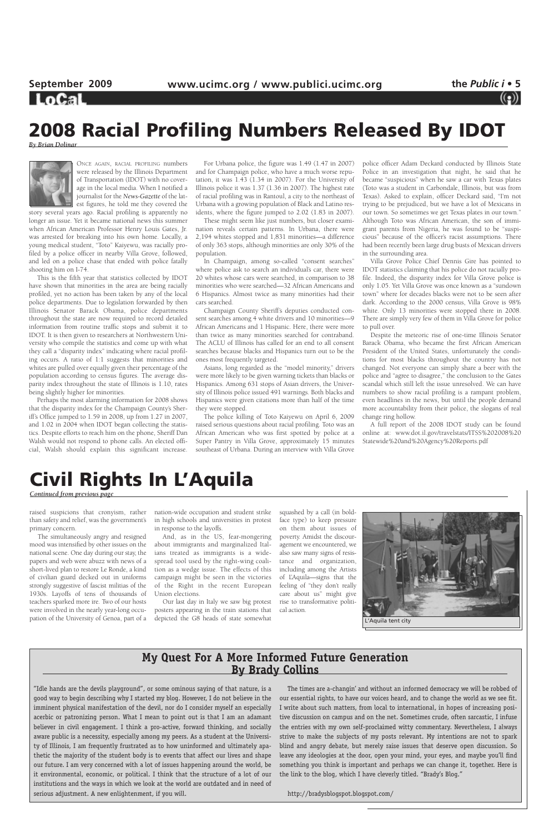### LoCal

ONCE AGAIN, RACIAL PROFILING numbers were released by the Illinois Department of Transportation (IDOT) with no coverage in the local media. When I notified a journalist for the *News-Gazette* of the latest figures, he told me they covered the

story several years ago. Racial profiling is apparently no longer an issue. Yet it became national news this summer when African American Professor Henry Louis Gates, Jr. was arrested for breaking into his own home. Locally, a young medical student, "Toto" Kaiyewu, was racially profiled by a police officer in nearby Villa Grove, followed, and led on a police chase that ended with police fatally shooting him on I-74.

This is the fifth year that statistics collected by IDOT have shown that minorities in the area are being racially profiled, yet no action has been taken by any of the local police departments. Due to legislation forwarded by then Illinois Senator Barack Obama, police departments throughout the state are now required to record detailed information from routine traffic stops and submit it to IDOT. It is then given to researchers at Northwestern University who compile the statistics and come up with what they call a "disparity index" indicating where racial profiling occurs. A ratio of 1:1 suggests that minorities and whites are pulled over equally given their percentage of the population according to census figures. The average disparity index throughout the state of Illinois is 1.10, rates being slightly higher for minorities.

Perhaps the most alarming information for 2008 shows that the disparity index for the Champaign County's Sheriff's Office jumped to 1.59 in 2008, up from 1.27 in 2007, and 1.02 in 2004 when IDOT began collecting the statistics. Despite efforts to reach him on the phone, Sheriff Dan Walsh would not respond to phone calls. An elected official, Walsh should explain this significant increase.

For Urbana police, the figure was 1.49 (1.47 in 2007) and for Champaign police, who have a much worse reputation, it was 1.43 (1.34 in 2007). For the University of Illinois police it was 1.37 (1.36 in 2007). The highest rate of racial profiling was in Rantoul, a city to the northeast of Urbana with a growing population of Black and Latino residents, where the figure jumped to 2.02 (1.83 in 2007).

These might seem like just numbers, but closer examination reveals certain patterns. In Urbana, there were 2,194 whites stopped and 1,831 minorities—a difference of only 363 stops, although minorities are only 30% of the population.

In Champaign, among so-called "consent searches" where police ask to search an individual's car, there were 20 whites whose cars were searched, in comparison to 38 minorities who were searched—32 African Americans and 6 Hispanics. Almost twice as many minorities had their cars searched.

Champaign County Sheriff's deputies conducted consent searches among 4 white drivers and 10 minorities—9 African Americans and 1 Hispanic. Here, there were more than twice as many minorities searched for contraband. The ACLU of Illinois has called for an end to all consent searches because blacks and Hispanics turn out to be the ones most frequently targeted.

Asians, long regarded as the "model minority," drivers were more likely to be given warning tickets than blacks or Hispanics. Among 631 stops of Asian drivers, the University of Illinois police issued 491 warnings. Both blacks and Hispanics were given citations more than half of the time they were stopped.

The police killing of Toto Kaiyewu on April 6, 2009 raised serious questions about racial profiling. Toto was an African American who was first spotted by police at a Super Pantry in Villa Grove, approximately 15 minutes southeast of Urbana. During an interview with Villa Grove

police officer Adam Deckard conducted by Illinois State Police in an investigation that night, he said that he became "suspicious" when he saw a car with Texas plates (Toto was a student in Carbondale, Illinois, but was from Texas). Asked to explain, officer Deckard said, "I'm not trying to be prejudiced, but we have a lot of Mexicans in our town. So sometimes we get Texas plates in our town." Although Toto was African American, the son of immigrant parents from Nigeria, he was found to be "suspicious" because of the officer's racist assumptions. There had been recently been large drug busts of Mexican drivers in the surrounding area.

Villa Grove Police Chief Dennis Gire has pointed to IDOT statistics claiming that his police do not racially profile. Indeed, the disparity index for Villa Grove police is only 1.05. Yet Villa Grove was once known as a "sundown town" where for decades blacks were not to be seen after dark. According to the 2000 census, Villa Grove is 98% white. Only 13 minorities were stopped there in 2008. There are simply very few of them in Villa Grove for police to pull over.

Despite the meteoric rise of one-time Illinois Senator Barack Obama, who became the first African American President of the United States, unfortunately the conditions for most blacks throughout the country has not changed. Not everyone can simply share a beer with the police and "agree to disagree," the conclusion to the Gates scandal which still left the issue unresolved. We can have numbers to show racial profiling is a rampant problem, even headlines in the news, but until the people demand more accountability from their police, the slogans of real change ring hollow.

A full report of the 2008 IDOT study can be found online at: www.dot.il.gov/travelstats/ITSS%202008%20 Statewide%20and%20Agency%20Reports.pdf

## **2008 Racial Profiling Numbers Released By IDOT**

*By Brian Dolinar*



## **Civil Rights In L'Aquila**

#### *Continued from previous page*

raised suspicions that cronyism, rather than safety and relief, was the government's primary concern.

The simultaneously angry and resigned mood was intensified by other issues on the national scene. One day during our stay, the papers and web were abuzz with news of a short-lived plan to restore Le Ronde, a kind of civilian guard decked out in uniforms strongly suggestive of fascist militias of the 1930s. Layoffs of tens of thousands of teachers sparked more ire. Two of our hosts were involved in the nearly year-long occunation-wide occupation and student strike in high schools and universities in protest in response to the layoffs.

pation of the University of Genoa, part of a depicted the G8 heads of state somewhat

And, as in the US, fear-mongering about immigrants and marginalized Italians treated as immigrants is a widespread tool used by the right-wing coalition as a wedge issue. The effects of this campaign might be seen in the victories of the Right in the recent European Union elections.

Our last day in Italy we saw big protest posters appearing in the train stations that squashed by a call (in boldface type) to keep pressure on them about issues of poverty. Amidst the discouragement we encountered, we also saw many signs of resistance and organization, including among the Artists of L'Aquila—signs that the feeling of "they don't really care about us" might give rise to transformative political action.



"Idle hands are the devils playground", or some ominous saying of that nature, is a good way to begin describing why I started my blog. However, I do not believe in the imminent physical manifestation of the devil, nor do I consider myself an especially acerbic or patronizing person. What I mean to point out is that I am an adamant believer in civil engagement. I think a pro-active, forward thinking, and socially aware public is a necessity, especially among my peers. As a student at the University of Illinois, I am frequently frustrated as to how uninformed and ultimately apathetic the majority of the student body is to events that affect our lives and shape our future. I am very concerned with a lot of issues happening around the world, be it environmental, economic, or political. I think that the structure of a lot of our institutions and the ways in which we look at the world are outdated and in need of serious adjustment. A new enlightenment, if you will.

The times are a-changin' and without an informed democracy we will be robbed of our essential rights, to have our voices heard, and to change the world as we see fit. I write about such matters, from local to international, in hopes of increasing positive discussion on campus and on the net. Sometimes crude, often sarcastic, I infuse the entries with my own self-proclaimed witty commentary. Nevertheless, I always strive to make the subjects of my posts relevant. My intentions are not to spark blind and angry debate, but merely raise issues that deserve open discussion. So leave any ideologies at the door, open your mind, your eyes, and maybe you'll find something you think is important and perhaps we can change it, together. Here is the link to the blog, which I have cleverly titled. "Brady's Blog."

http://bradysblogspot.blogspot.com/

### **My Quest For A More Informed Future Generation By Brady Collins**

| L'Aquila tent city |  |
|--------------------|--|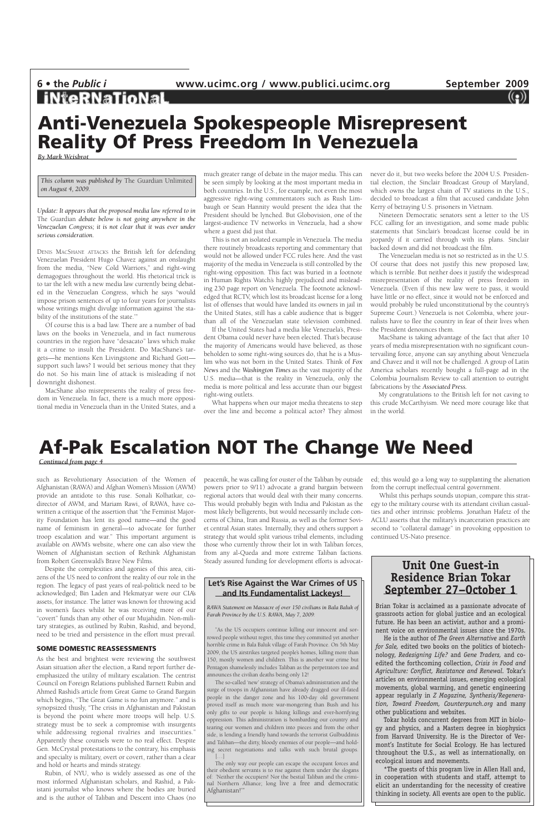## **Anti-Venezuela Spokespeople Misrepresent Reality Of Press Freedom In Venezuela**

*By Mark Weisbrot* 

*Update: It appears that the proposed media law referred to in* The Guardian *debate below is not going anywhere in the Venezuelan Congress; it is not clear that it was ever under serious consideration.*

DENIS MACSHANE ATTACKS the British left for defending Venezuelan President Hugo Chavez against an onslaught from the media, "New Cold Warriors," and right-wing demagogues throughout the world. His rhetorical trick is to tar the left with a new media law currently being debated in the Venezuelan Congress, which he says "would impose prison sentences of up to four years for journalists whose writings might divulge information against 'the stability of the institutions of the state.'"

Of course this is a bad law. There are a number of bad laws on the books in Venezuela, and in fact numerous countries in the region have "desacato" laws which make it a crime to insult the President. Do MacShane's targets—he mentions Ken Livingstone and Richard Gott support such laws? I would bet serious money that they do not. So his main line of attack is misleading if not downright dishonest.

MacShane also misrepresents the reality of press freedom in Venezuela. In fact, there is a much more oppositional media in Venezuela than in the United States, and a

much greater range of debate in the major media. This can be seen simply by looking at the most important media in both countries. In the U.S., for example, not even the most aggressive right-wing commentators such as Rush Limbaugh or Sean Hannity would present the idea that the President should be lynched. But Globovision, one of the largest-audience TV networks in Venezuela, had a show where a guest did just that.

This is not an isolated example in Venezuela. The media there routinely broadcasts reporting and commentary that would not be allowed under FCC rules here. And the vast majority of the media in Venezuela is still controlled by the right-wing opposition. This fact was buried in a footnote in Human Rights Watch's highly prejudiced and misleading 230 page report on Venezuela. The footnote acknowledged that RCTV, which lost its broadcast license for a long list of offenses that would have landed its owners in jail in the United States, still has a cable audience that is bigger than all of the Venezuelan state television combined.

If the United States had a media like Venezuela's, President Obama could never have been elected. That's because the majority of Americans would have believed, as those beholden to some right-wing sources do, that he is a Muslim who was not born in the United States. Think of *Fox News* and the *Washington Times* as the vast majority of the U.S. media—that is the reality in Venezuela, only the media is more political and less accurate than our biggest right-wing outlets.

What happens when our major media threatens to step over the line and become a political actor? They almost never do it, but two weeks before the 2004 U.S. Presidential election, the Sinclair Broadcast Group of Maryland, which owns the largest chain of TV stations in the U.S., decided to broadcast a film that accused candidate John Kerry of betraying U.S. prisoners in Vietnam.

Nineteen Democratic senators sent a letter to the US FCC calling for an investigation, and some made public statements that Sinclair's broadcast license could be in jeopardy if it carried through with its plans. Sinclair backed down and did not broadcast the film.

The Venezuelan media is not so restricted as in the U.S. Of course that does not justify this new proposed law, which is terrible. But neither does it justify the widespread misrepresentation of the reality of press freedom in Venezuela. (Even if this new law were to pass, it would have little or no effect, since it would not be enforced and would probably be ruled unconstitutional by the country's Supreme Court.) Venezuela is not Colombia, where journalists have to flee the country in fear of their lives when the President denounces them.

MacShane is taking advantage of the fact that after 10 years of media misrepresentation with no significant countervailing force, anyone can say anything about Venezuela and Chavez and it will not be challenged. A group of Latin America scholars recently bought a full-page ad in the Colombia Journalism Review to call attention to outright fabrications by the *Associated Press.*

My congratulations to the British left for not caving to this crude McCarthyism. We need more courage like that in the world.

*This column was published by* The Guardian Unlimited *on August 4, 2009.* 

such as Revolutionary Association of the Women of Afghanistan (RAWA) and Afghan Women's Mission (AWM) provide an antidote to this ruse. Sonali Kolhatkar, codirector of AWM, and Mariam Rawi, of RAWA, have cowritten a critique of the assertion that "the Feminist Majority Foundation has lent its good name—and the good name of feminism in general—to advocate for further troop escalation and war." This important argument is available on AWM's website, where one can also view the Women of Afghanistan section of Rethink Afghanistan from Robert Greenwald's Brave New Films.

Despite the complexities and agonies of this area, citizens of the US need to confront the reality of our role in the region. The legacy of past years of real-politick need to be acknowledged; Bin Laden and Hekmatyar were our CIA's assets, for instance. The latter was known for throwing acid in women's faces whilst he was receiving more of our "covert" funds than any other of our Mujahidin. Non-military strategies, as outlined by Rubin, Rashid, and beyond, need to be tried and persistence in the effort must prevail.

#### **SOME DOMESTIC REASSESSMENTS**

As the best and brightest were reviewing the southwest Asian situation after the election, a Rand report further deemphasized the utility of military escalation. The centrist Council on Foreign Relations published Barnett Rubin and Ahmed Rashid's article from Great Game to Grand Bargain which begins, "The Great Game is no fun anymore." and is synopsized thusly, "The crisis in Afghanistan and Pakistan is beyond the point where more troops will help. U.S. strategy must be to seek a compromise with insurgents while addressing regional rivalries and insecurities." Apparently these counsels were to no real effect. Despite Gen. McCrystal protestations to the contrary, his emphasis and specialty is military, overt or covert, rather than a clear and hold or hearts and minds strategy.

Rubin, of NYU, who is widely assessed as one of the most informed Afghanistan scholars, and Rashid, a Pakistani journalist who knows where the bodies are buried and is the author of Taliban and Descent into Chaos (no

peacenik, he was calling for ouster of the Taliban by outside powers prior to 9/11) advocate a grand bargain between regional actors that would deal with their many concerns. This would probably begin with India and Pakistan as the most likely belligerents, but would necessarily include concerns of China, Iran and Russia, as well as the former Soviet central Asian states. Internally, they and others support a strategy that would split various tribal elements, including those who currently throw their lot in with Taliban forces, from any al-Queda and more extreme Taliban factions. Steady assured funding for development efforts is advocated; this would go a long way to supplanting the alienation from the corrupt ineffectual central government.

Whilst this perhaps sounds utopian, compare this strategy to the military course with its attendant civilian casualties and other intrinsic problems. Jonathan Hafetz of the ACLU asserts that the military's incarceration practices are second to "collateral damage" in provoking opposition to continued US-Nato presence.

## **Af-Pak Escalation NOT The Change We Need**

*Continued from page 4*

#### **Let's Rise Against the War Crimes of US and Its Fundamentalist Lackeys!**

*RAWA Statement on Massacre of over 150 civilians in Bala Baluk of*

*Farah Province by the U.S. RAWA, May 7, 2009:*

"As the US occupiers continue killing our innocent and sorrowed people without regret, this time they committed yet another horrible crime in Bala Baluk village of Farah Province. On 5th May 2009, the US airstrikes targeted people's homes, killing more than 150, mostly women and children. This is another war crime but Pentagon shamelessly includes Taliban as the perpetrators too and announces the civilian deaths being only 12!

The so-called 'new' strategy of Obama's administration and the surge of troops in Afghanistan have already dragged our ill-fated people in the danger zone and his 100-day old government proved itself as much more war-mongering than Bush and his only gifts to our people is hiking killings and ever-horrifying oppression. This administration is bombarding our country and tearing our women and children into pieces and from the other side, is lending a friendly hand towards the terrorist Gulbuddinis and Taliban—the dirty, bloody enemies of our people—and holding secret negotiations and talks with such brutal groups. […]

The only way our people can escape the occupant forces and their obedient servants is to rise against them under the slogans of: 'Neither the occupiers! Nor the bestial Taliban and the criminal Northern Alliance; long live a free and democratic Afghanistan!'"

### **Unit One Guest-in Residence Brian Tokar September 27–October 1**

Brian Tokar is acclaimed as a passionate advocate of

grassroots action for global justice and an ecological future. He has been an activist, author and a prominent voice on environmental issues since the 1970s.

He is the author of *The Green Alternative* and *Earth for Sale,* edited two books on the politics of biotechnology, *Redesigning Life?* and *Gene Traders,* and coedited the forthcoming collection, *Crisis in Food and Agriculture: Conflict, Resistance and Renewal.* Tokar's articles on environmental issues, emerging ecological movements, global warming, and genetic engineering appear regularly in *Z Magazine, Synthesis/Regeneration, Toward Freedom, Counterpunch.org* and many other publications and websites.

Tokar holds concurrent degrees from MIT in biology and physics, and a Masters degree in biophysics from Harvard University. He is the Director of Vermont's Institute for Social Ecology. He has lectured throughout the U.S., as well as internationally, on ecological issues and movements.

\*The guests of this program live in Allen Hall and, in cooperation with students and staff, attempt to elicit an understanding for the necessity of creative thinking in society. All events are open to the public.